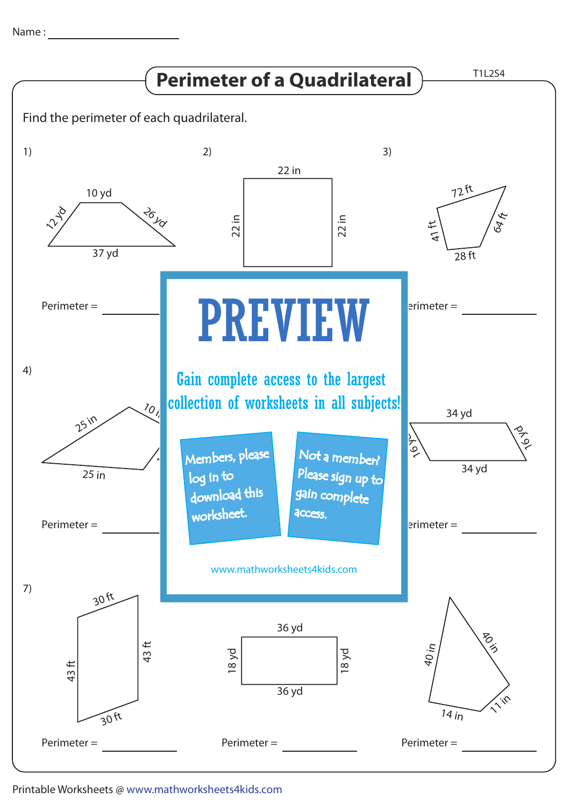Name : with the state of  $\sim$ 



## Printable Worksheets @ www.mathworksheets4kids.com